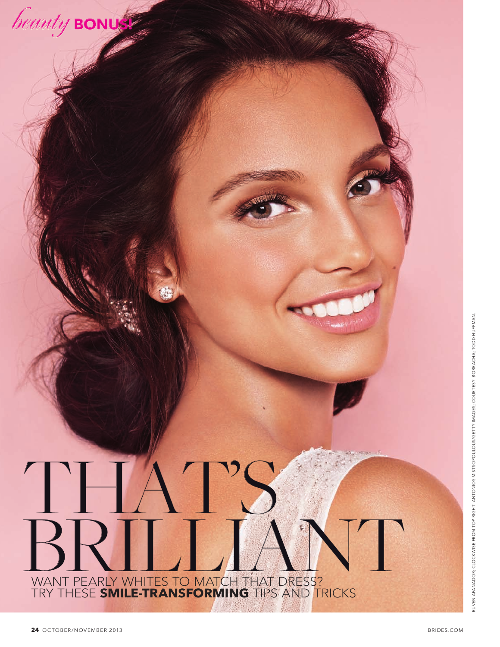

# $\mathcal{L}$ BRILLIANT TRY THESE **SMILE-TRANSFORMING** TIPS AND TRICKS